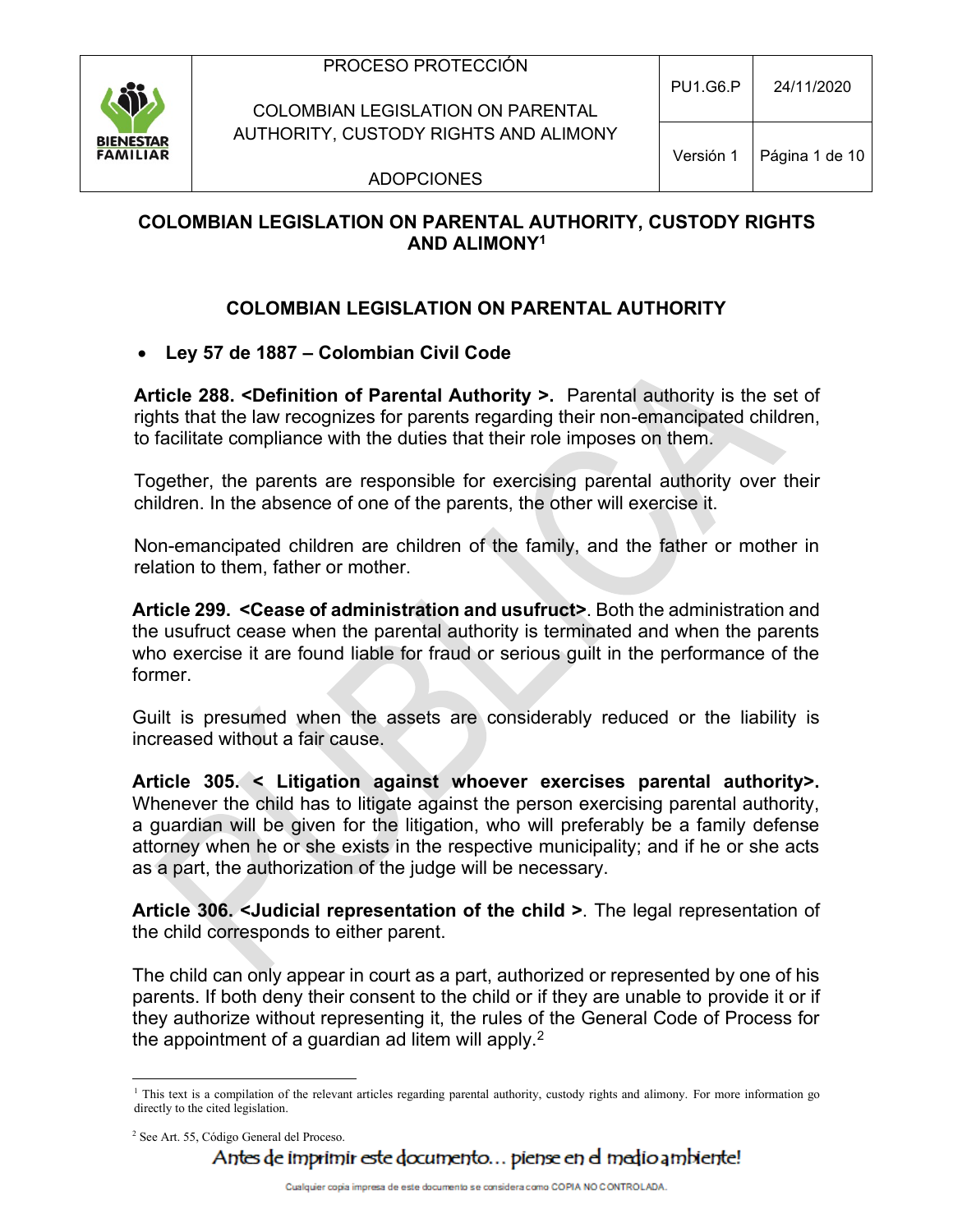

COLOMBIAN LEGISLATION ON PARENTAL AUTHORITY, CUSTODY RIGHTS AND ALIMONY

Versión 1 | Página 1 de 10

ADOPCIONES

## **COLOMBIAN LEGISLATION ON PARENTAL AUTHORITY, CUSTODY RIGHTS AND ALIMONY<sup>1</sup>**

## **COLOMBIAN LEGISLATION ON PARENTAL AUTHORITY**

### • **Ley 57 de 1887 – Colombian Civil Code**

**Article 288. <Definition of Parental Authority >.** Parental authority is the set of rights that the law recognizes for parents regarding their non-emancipated children, to facilitate compliance with the duties that their role imposes on them.

Together, the parents are responsible for exercising parental authority over their children. In the absence of one of the parents, the other will exercise it.

Non-emancipated children are children of the family, and the father or mother in relation to them, father or mother.

**Article 299. <Cease of administration and usufruct>**. Both the administration and the usufruct cease when the parental authority is terminated and when the parents who exercise it are found liable for fraud or serious guilt in the performance of the former.

Guilt is presumed when the assets are considerably reduced or the liability is increased without a fair cause.

**Article 305. < Litigation against whoever exercises parental authority>.**  Whenever the child has to litigate against the person exercising parental authority, a guardian will be given for the litigation, who will preferably be a family defense attorney when he or she exists in the respective municipality; and if he or she acts as a part, the authorization of the judge will be necessary.

**Article 306. <Judicial representation of the child >**. The legal representation of the child corresponds to either parent.

The child can only appear in court as a part, authorized or represented by one of his parents. If both deny their consent to the child or if they are unable to provide it or if they authorize without representing it, the rules of the General Code of Process for the appointment of a guardian ad litem will apply. $2$ 

<sup>&</sup>lt;sup>1</sup> This text is a compilation of the relevant articles regarding parental authority, custody rights and alimony. For more information go directly to the cited legislation.

<sup>2</sup> See Art. 55, Código General del Proceso.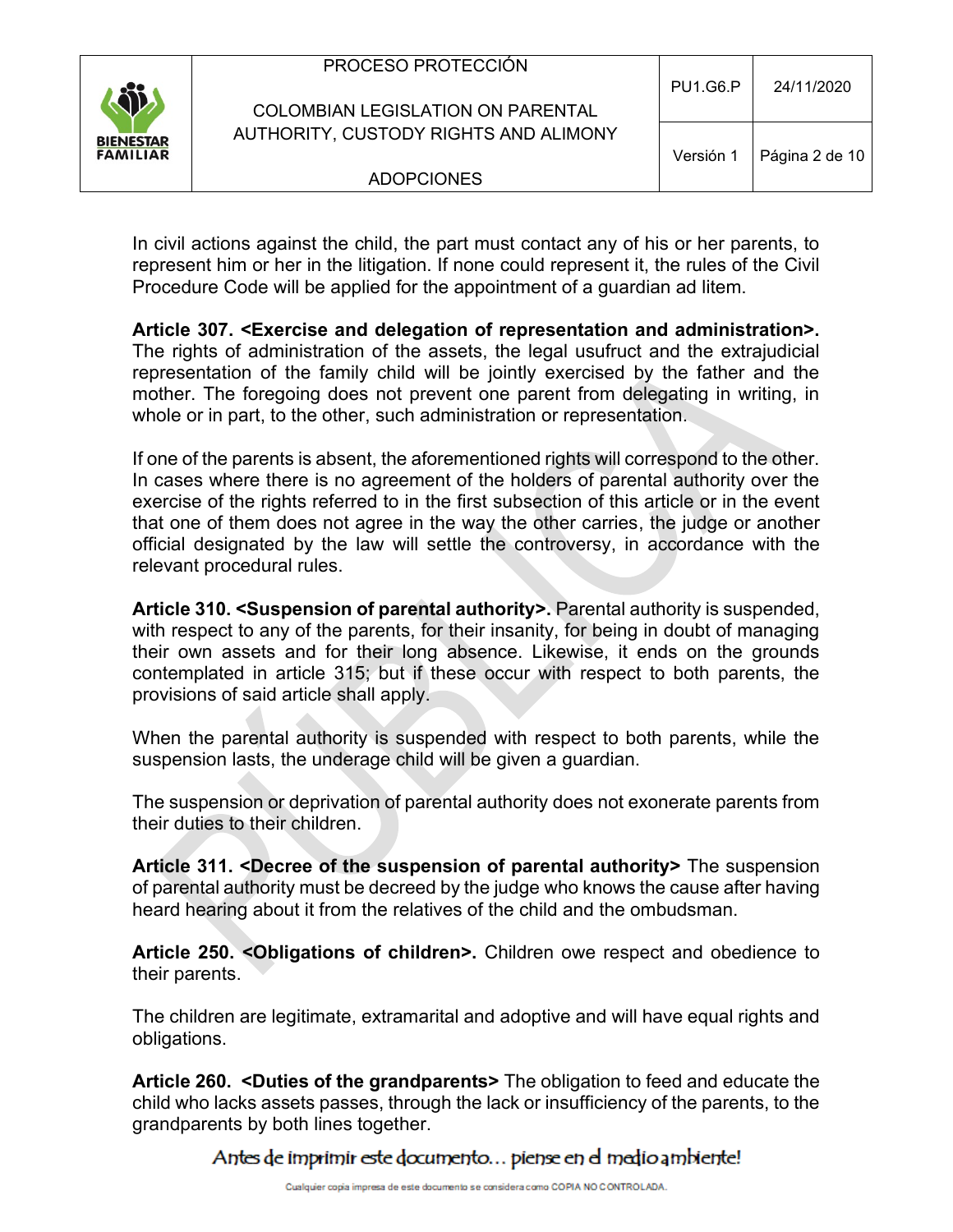| \$j                                 | PROCESO PROTECCIÓN<br><b>COLOMBIAN LEGISLATION ON PARENTAL</b> | <b>PU1.G6.P</b> | 24/11/2020     |
|-------------------------------------|----------------------------------------------------------------|-----------------|----------------|
| <b>BIENESTAR</b><br><b>FAMILIAR</b> | AUTHORITY, CUSTODY RIGHTS AND ALIMONY                          | Versión 1       | Página 2 de 10 |
|                                     | <b>ADOPCIONES</b>                                              |                 |                |

In civil actions against the child, the part must contact any of his or her parents, to represent him or her in the litigation. If none could represent it, the rules of the Civil Procedure Code will be applied for the appointment of a guardian ad litem.

**Article 307. <Exercise and delegation of representation and administration>.**  The rights of administration of the assets, the legal usufruct and the extrajudicial representation of the family child will be jointly exercised by the father and the mother. The foregoing does not prevent one parent from delegating in writing, in whole or in part, to the other, such administration or representation.

If one of the parents is absent, the aforementioned rights will correspond to the other. In cases where there is no agreement of the holders of parental authority over the exercise of the rights referred to in the first subsection of this article or in the event that one of them does not agree in the way the other carries, the judge or another official designated by the law will settle the controversy, in accordance with the relevant procedural rules.

**Article 310. <Suspension of parental authority>.** Parental authority is suspended, with respect to any of the parents, for their insanity, for being in doubt of managing their own assets and for their long absence. Likewise, it ends on the grounds contemplated in article 315; but if these occur with respect to both parents, the provisions of said article shall apply.

When the parental authority is suspended with respect to both parents, while the suspension lasts, the underage child will be given a guardian.

The suspension or deprivation of parental authority does not exonerate parents from their duties to their children.

**Article 311. <Decree of the suspension of parental authority>** The suspension of parental authority must be decreed by the judge who knows the cause after having heard hearing about it from the relatives of the child and the ombudsman.

**Article 250. <Obligations of children>.** Children owe respect and obedience to their parents.

The children are legitimate, extramarital and adoptive and will have equal rights and obligations.

**Article 260. <Duties of the grandparents>** The obligation to feed and educate the child who lacks assets passes, through the lack or insufficiency of the parents, to the grandparents by both lines together.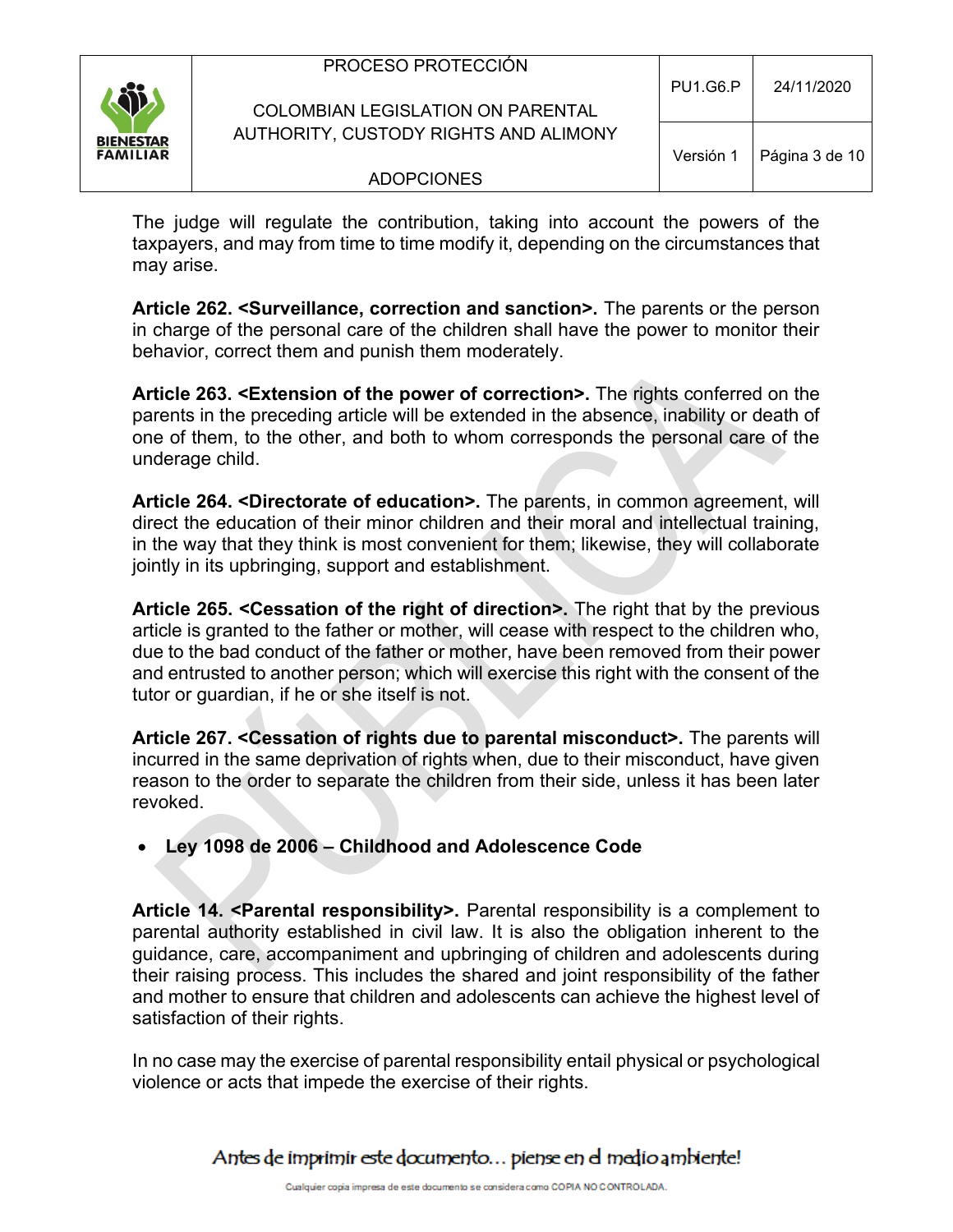|                                     | PROCESO PROTECCIÓN<br>COLOMBIAN LEGISLATION ON PARENTAL | <b>PU1.G6.P</b> | 24/11/2020     |
|-------------------------------------|---------------------------------------------------------|-----------------|----------------|
| <b>BIENESTAR</b><br><b>FAMILIAR</b> | AUTHORITY, CUSTODY RIGHTS AND ALIMONY                   | Versión 1       | Página 3 de 10 |
|                                     | <b>ADOPCIONES</b>                                       |                 |                |
|                                     |                                                         |                 |                |

The judge will regulate the contribution, taking into account the powers of the taxpayers, and may from time to time modify it, depending on the circumstances that may arise.

**Article 262. <Surveillance, correction and sanction>.** The parents or the person in charge of the personal care of the children shall have the power to monitor their behavior, correct them and punish them moderately.

**Article 263. <Extension of the power of correction>.** The rights conferred on the parents in the preceding article will be extended in the absence, inability or death of one of them, to the other, and both to whom corresponds the personal care of the underage child.

**Article 264. <Directorate of education>.** The parents, in common agreement, will direct the education of their minor children and their moral and intellectual training, in the way that they think is most convenient for them; likewise, they will collaborate jointly in its upbringing, support and establishment.

**Article 265. <Cessation of the right of direction>.** The right that by the previous article is granted to the father or mother, will cease with respect to the children who, due to the bad conduct of the father or mother, have been removed from their power and entrusted to another person; which will exercise this right with the consent of the tutor or guardian, if he or she itself is not.

**Article 267. <Cessation of rights due to parental misconduct>.** The parents will incurred in the same deprivation of rights when, due to their misconduct, have given reason to the order to separate the children from their side, unless it has been later revoked.

## • **Ley 1098 de 2006 – Childhood and Adolescence Code**

**Article 14. <Parental responsibility>.** Parental responsibility is a complement to parental authority established in civil law. It is also the obligation inherent to the guidance, care, accompaniment and upbringing of children and adolescents during their raising process. This includes the shared and joint responsibility of the father and mother to ensure that children and adolescents can achieve the highest level of satisfaction of their rights.

In no case may the exercise of parental responsibility entail physical or psychological violence or acts that impede the exercise of their rights.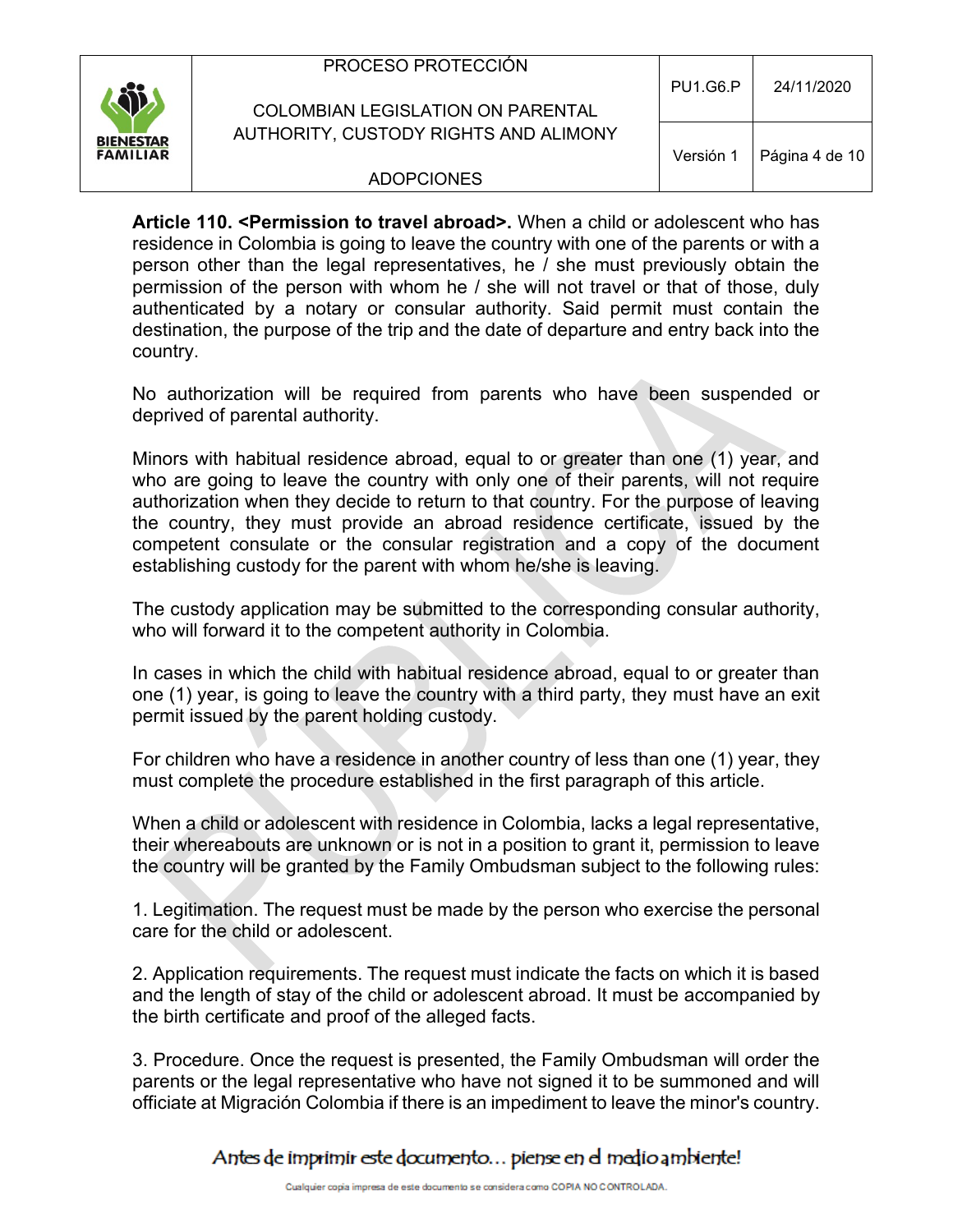| SB.                                 | PROCESO PROTECCIÓN<br>COLOMBIAN LEGISLATION ON PARENTAL | <b>PU1.G6.P</b> | 24/11/2020     |
|-------------------------------------|---------------------------------------------------------|-----------------|----------------|
| <b>BIENESTAR</b><br><b>FAMILIAR</b> | AUTHORITY, CUSTODY RIGHTS AND ALIMONY                   | Versión 1       | Página 4 de 10 |
|                                     | <b>ADOPCIONES</b>                                       |                 |                |

**Article 110. <Permission to travel abroad>.** When a child or adolescent who has residence in Colombia is going to leave the country with one of the parents or with a person other than the legal representatives, he / she must previously obtain the permission of the person with whom he / she will not travel or that of those, duly authenticated by a notary or consular authority. Said permit must contain the destination, the purpose of the trip and the date of departure and entry back into the country.

No authorization will be required from parents who have been suspended or deprived of parental authority.

Minors with habitual residence abroad, equal to or greater than one (1) year, and who are going to leave the country with only one of their parents, will not require authorization when they decide to return to that country. For the purpose of leaving the country, they must provide an abroad residence certificate, issued by the competent consulate or the consular registration and a copy of the document establishing custody for the parent with whom he/she is leaving.

The custody application may be submitted to the corresponding consular authority, who will forward it to the competent authority in Colombia.

In cases in which the child with habitual residence abroad, equal to or greater than one (1) year, is going to leave the country with a third party, they must have an exit permit issued by the parent holding custody.

For children who have a residence in another country of less than one (1) year, they must complete the procedure established in the first paragraph of this article.

When a child or adolescent with residence in Colombia, lacks a legal representative, their whereabouts are unknown or is not in a position to grant it, permission to leave the country will be granted by the Family Ombudsman subject to the following rules:

1. Legitimation. The request must be made by the person who exercise the personal care for the child or adolescent.

2. Application requirements. The request must indicate the facts on which it is based and the length of stay of the child or adolescent abroad. It must be accompanied by the birth certificate and proof of the alleged facts.

3. Procedure. Once the request is presented, the Family Ombudsman will order the parents or the legal representative who have not signed it to be summoned and will officiate at Migración Colombia if there is an impediment to leave the minor's country.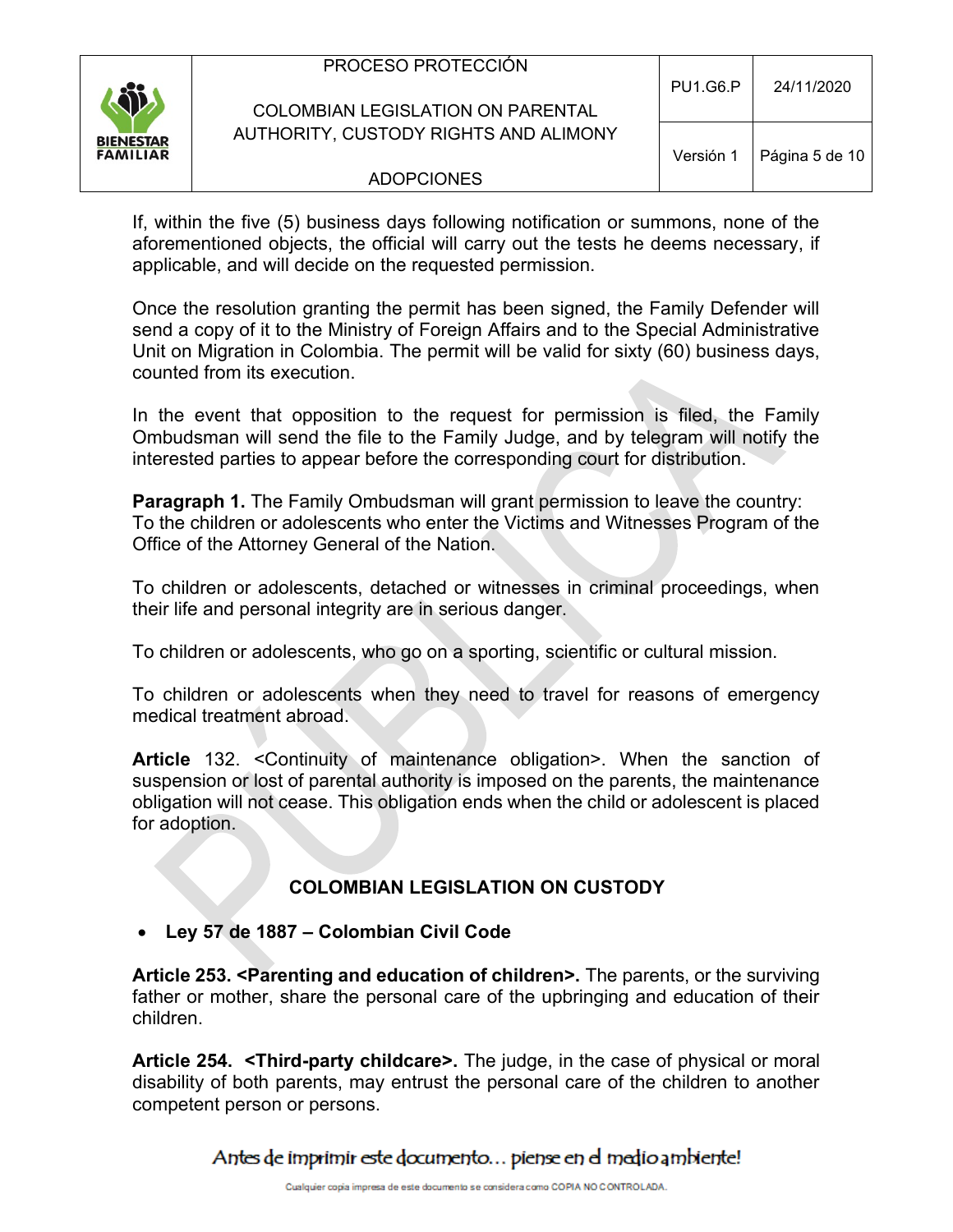| ÎÎ                                  | PROCESO PROTECCIÓN<br><b>COLOMBIAN LEGISLATION ON PARENTAL</b> | <b>PU1.G6.P</b> | 24/11/2020     |
|-------------------------------------|----------------------------------------------------------------|-----------------|----------------|
| <b>BIENESTAR</b><br><b>FAMILIAR</b> | AUTHORITY, CUSTODY RIGHTS AND ALIMONY                          | Versión 1       | Página 5 de 10 |
|                                     | <b>ADOPCIONES</b>                                              |                 |                |
|                                     |                                                                |                 |                |

If, within the five (5) business days following notification or summons, none of the aforementioned objects, the official will carry out the tests he deems necessary, if applicable, and will decide on the requested permission.

Once the resolution granting the permit has been signed, the Family Defender will send a copy of it to the Ministry of Foreign Affairs and to the Special Administrative Unit on Migration in Colombia. The permit will be valid for sixty (60) business days, counted from its execution.

In the event that opposition to the request for permission is filed, the Family Ombudsman will send the file to the Family Judge, and by telegram will notify the interested parties to appear before the corresponding court for distribution.

**Paragraph 1.** The Family Ombudsman will grant permission to leave the country: To the children or adolescents who enter the Victims and Witnesses Program of the Office of the Attorney General of the Nation.

To children or adolescents, detached or witnesses in criminal proceedings, when their life and personal integrity are in serious danger.

To children or adolescents, who go on a sporting, scientific or cultural mission.

To children or adolescents when they need to travel for reasons of emergency medical treatment abroad.

**Article** 132. <Continuity of maintenance obligation>. When the sanction of suspension or lost of parental authority is imposed on the parents, the maintenance obligation will not cease. This obligation ends when the child or adolescent is placed for adoption.

## **COLOMBIAN LEGISLATION ON CUSTODY**

#### • **Ley 57 de 1887 – Colombian Civil Code**

**Article 253. <Parenting and education of children>.** The parents, or the surviving father or mother, share the personal care of the upbringing and education of their children.

**Article 254. <Third-party childcare>.** The judge, in the case of physical or moral disability of both parents, may entrust the personal care of the children to another competent person or persons.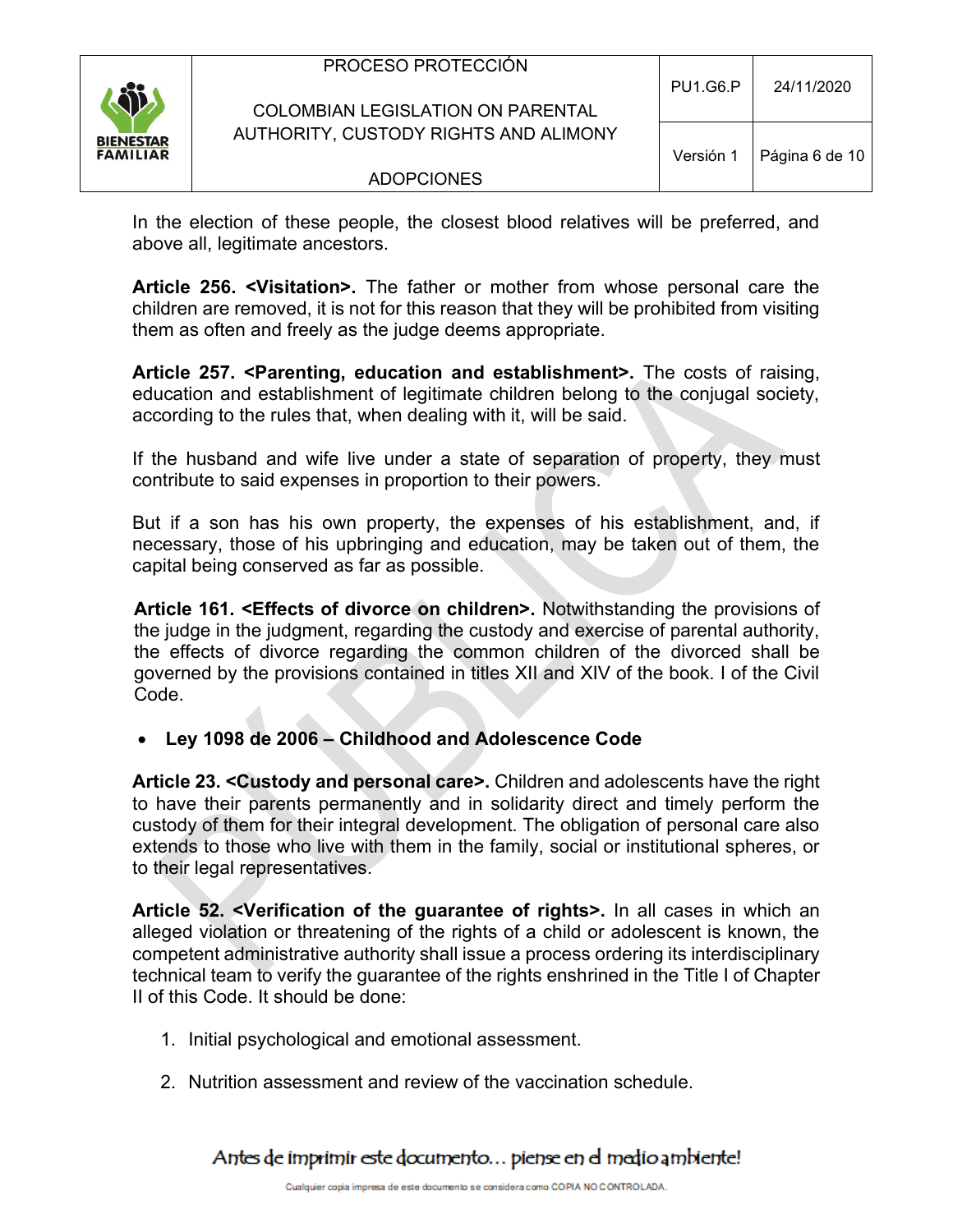| <b>Si</b>                           | PROCESO PROTECCIÓN<br><b>COLOMBIAN LEGISLATION ON PARENTAL</b> | <b>PU1.G6.P</b> | 24/11/2020     |
|-------------------------------------|----------------------------------------------------------------|-----------------|----------------|
| <b>BIENESTAR</b><br><b>FAMILIAR</b> | AUTHORITY, CUSTODY RIGHTS AND ALIMONY                          | Versión 1       | Página 6 de 10 |
|                                     | <b>ADOPCIONES</b>                                              |                 |                |
|                                     |                                                                |                 |                |

In the election of these people, the closest blood relatives will be preferred, and above all, legitimate ancestors.

**Article 256. <Visitation>.** The father or mother from whose personal care the children are removed, it is not for this reason that they will be prohibited from visiting them as often and freely as the judge deems appropriate.

**Article 257. <Parenting, education and establishment>.** The costs of raising, education and establishment of legitimate children belong to the conjugal society, according to the rules that, when dealing with it, will be said.

If the husband and wife live under a state of separation of property, they must contribute to said expenses in proportion to their powers.

But if a son has his own property, the expenses of his establishment, and, if necessary, those of his upbringing and education, may be taken out of them, the capital being conserved as far as possible.

**Article 161. <Effects of divorce on children>.** Notwithstanding the provisions of the judge in the judgment, regarding the custody and exercise of parental authority, the effects of divorce regarding the common children of the divorced shall be governed by the provisions contained in titles XII and XIV of the book. I of the Civil Code.

• **Ley 1098 de 2006 – Childhood and Adolescence Code**

**Article 23. <Custody and personal care>.** Children and adolescents have the right to have their parents permanently and in solidarity direct and timely perform the custody of them for their integral development. The obligation of personal care also extends to those who live with them in the family, social or institutional spheres, or to their legal representatives.

**Article 52. <Verification of the guarantee of rights>.** In all cases in which an alleged violation or threatening of the rights of a child or adolescent is known, the competent administrative authority shall issue a process ordering its interdisciplinary technical team to verify the guarantee of the rights enshrined in the Title I of Chapter II of this Code. It should be done:

- 1. Initial psychological and emotional assessment.
- 2. Nutrition assessment and review of the vaccination schedule.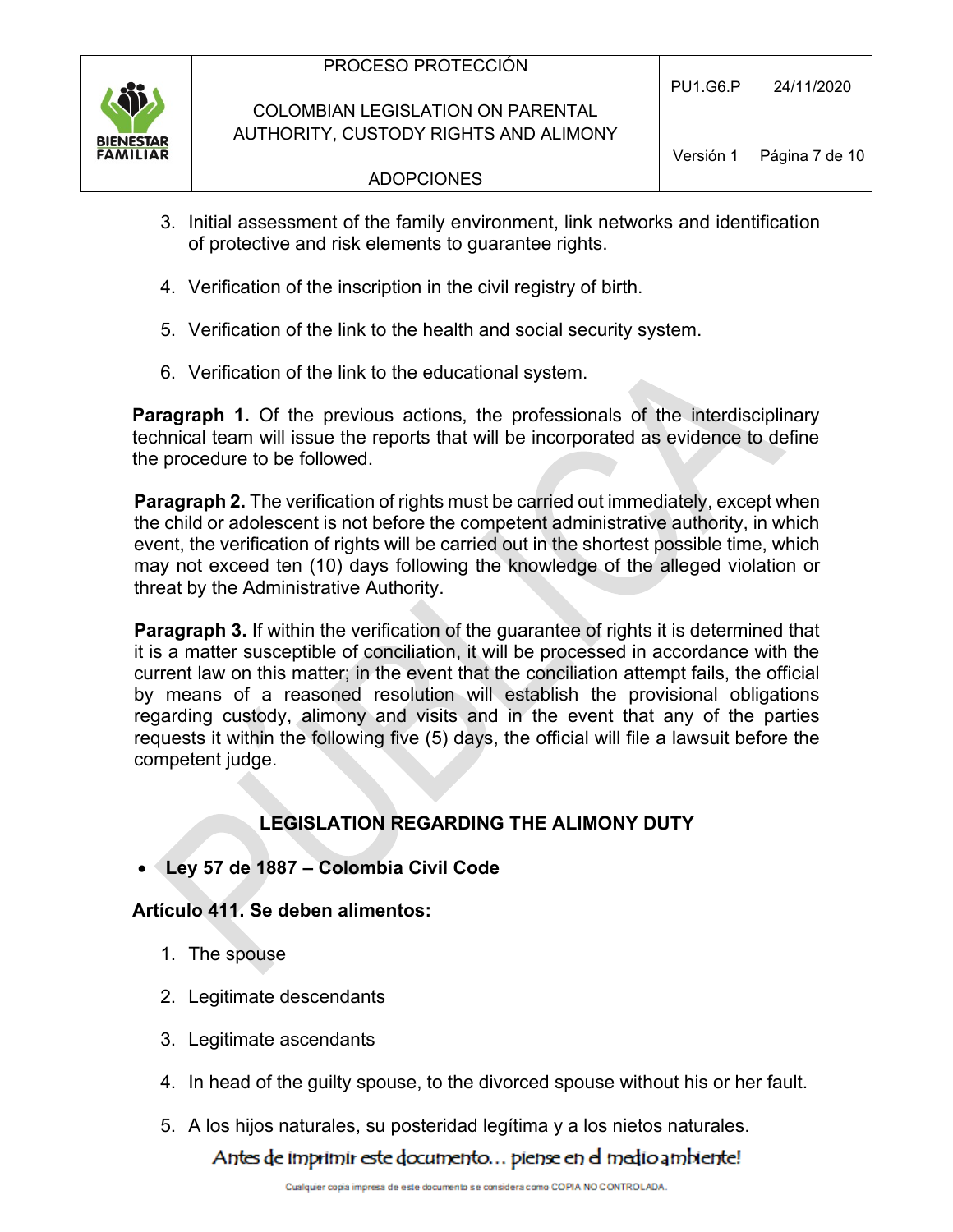

- 3. Initial assessment of the family environment, link networks and identification of protective and risk elements to guarantee rights.
- 4. Verification of the inscription in the civil registry of birth.
- 5. Verification of the link to the health and social security system.
- 6. Verification of the link to the educational system.

**Paragraph 1.** Of the previous actions, the professionals of the interdisciplinary technical team will issue the reports that will be incorporated as evidence to define the procedure to be followed.

**Paragraph 2.** The verification of rights must be carried out immediately, except when the child or adolescent is not before the competent administrative authority, in which event, the verification of rights will be carried out in the shortest possible time, which may not exceed ten (10) days following the knowledge of the alleged violation or threat by the Administrative Authority.

**Paragraph 3.** If within the verification of the guarantee of rights it is determined that it is a matter susceptible of conciliation, it will be processed in accordance with the current law on this matter; in the event that the conciliation attempt fails, the official by means of a reasoned resolution will establish the provisional obligations regarding custody, alimony and visits and in the event that any of the parties requests it within the following five (5) days, the official will file a lawsuit before the competent judge.

# **LEGISLATION REGARDING THE ALIMONY DUTY**

• **Ley 57 de 1887 – Colombia Civil Code**

## **Artículo 411. Se deben alimentos:**

- 1. The spouse
- 2. Legitimate descendants
- 3. Legitimate ascendants
- 4. In head of the guilty spouse, to the divorced spouse without his or her fault.
- 5. A los hijos naturales, su posteridad legítima y a los nietos naturales.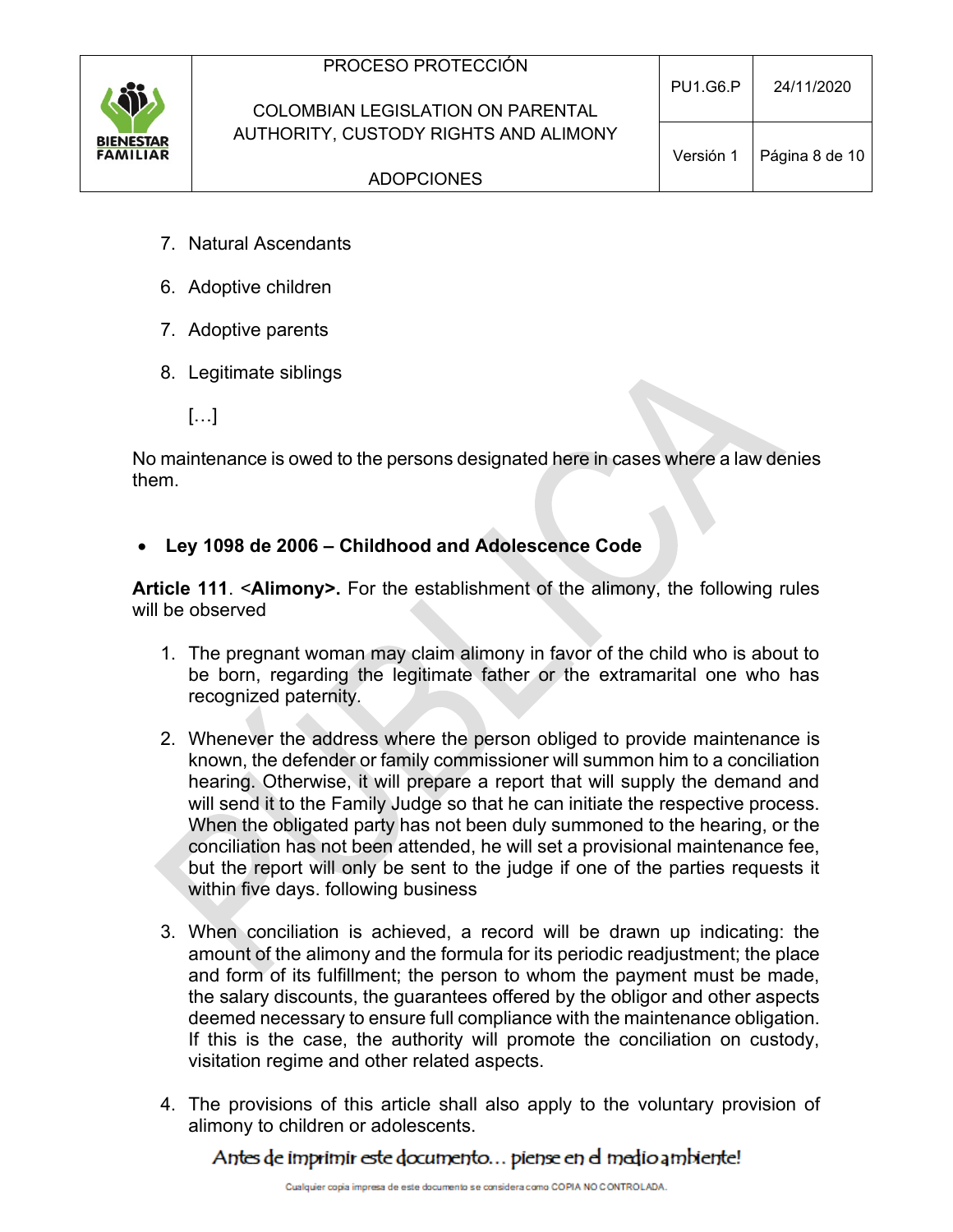

### COLOMBIAN LEGISLATION ON PARENTAL AUTHORITY, CUSTODY RIGHTS AND ALIMONY

- 7. Natural Ascendants
- 6. Adoptive children
- 7. Adoptive parents
- 8. Legitimate siblings
	- […]

No maintenance is owed to the persons designated here in cases where a law denies them.

• **Ley 1098 de 2006 – Childhood and Adolescence Code**

**Article 111**. <**Alimony>.** For the establishment of the alimony, the following rules will be observed

- 1. The pregnant woman may claim alimony in favor of the child who is about to be born, regarding the legitimate father or the extramarital one who has recognized paternity.
- 2. Whenever the address where the person obliged to provide maintenance is known, the defender or family commissioner will summon him to a conciliation hearing. Otherwise, it will prepare a report that will supply the demand and will send it to the Family Judge so that he can initiate the respective process. When the obligated party has not been duly summoned to the hearing, or the conciliation has not been attended, he will set a provisional maintenance fee, but the report will only be sent to the judge if one of the parties requests it within five days. following business
- 3. When conciliation is achieved, a record will be drawn up indicating: the amount of the alimony and the formula for its periodic readjustment; the place and form of its fulfillment; the person to whom the payment must be made, the salary discounts, the guarantees offered by the obligor and other aspects deemed necessary to ensure full compliance with the maintenance obligation. If this is the case, the authority will promote the conciliation on custody, visitation regime and other related aspects.
- 4. The provisions of this article shall also apply to the voluntary provision of alimony to children or adolescents.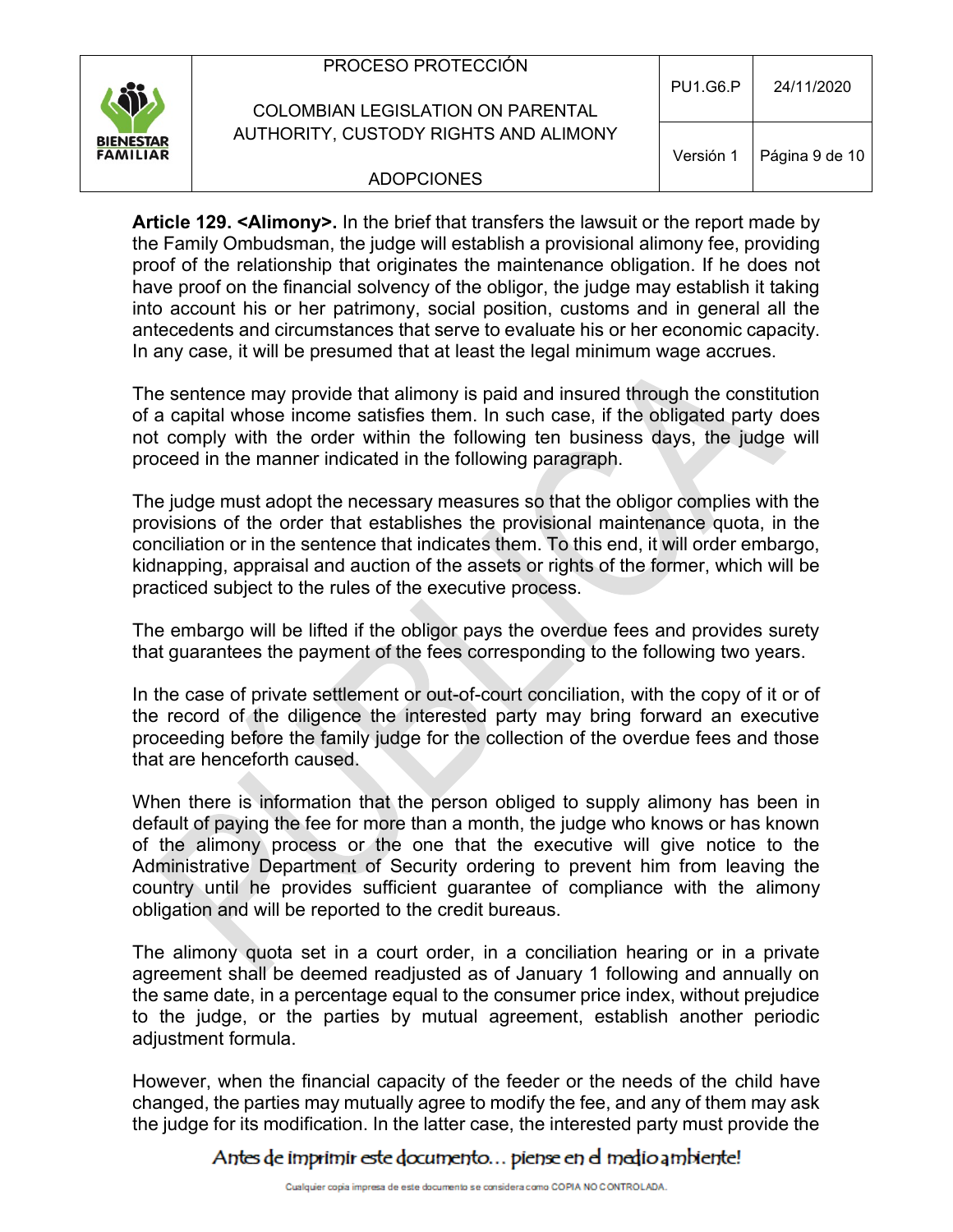| \$j.                                | PROCESO PROTECCIÓN<br>COLOMBIAN LEGISLATION ON PARENTAL | <b>PU1.G6.P</b> | 24/11/2020     |
|-------------------------------------|---------------------------------------------------------|-----------------|----------------|
| <b>BIENESTAR</b><br><b>FAMILIAR</b> | AUTHORITY, CUSTODY RIGHTS AND ALIMONY                   | Versión 1       | Página 9 de 10 |
|                                     | <b>ADOPCIONES</b>                                       |                 |                |

**Article 129. <Alimony>.** In the brief that transfers the lawsuit or the report made by the Family Ombudsman, the judge will establish a provisional alimony fee, providing proof of the relationship that originates the maintenance obligation. If he does not have proof on the financial solvency of the obligor, the judge may establish it taking into account his or her patrimony, social position, customs and in general all the antecedents and circumstances that serve to evaluate his or her economic capacity. In any case, it will be presumed that at least the legal minimum wage accrues.

The sentence may provide that alimony is paid and insured through the constitution of a capital whose income satisfies them. In such case, if the obligated party does not comply with the order within the following ten business days, the judge will proceed in the manner indicated in the following paragraph.

The judge must adopt the necessary measures so that the obligor complies with the provisions of the order that establishes the provisional maintenance quota, in the conciliation or in the sentence that indicates them. To this end, it will order embargo, kidnapping, appraisal and auction of the assets or rights of the former, which will be practiced subject to the rules of the executive process.

The embargo will be lifted if the obligor pays the overdue fees and provides surety that guarantees the payment of the fees corresponding to the following two years.

In the case of private settlement or out-of-court conciliation, with the copy of it or of the record of the diligence the interested party may bring forward an executive proceeding before the family judge for the collection of the overdue fees and those that are henceforth caused.

When there is information that the person obliged to supply alimony has been in default of paying the fee for more than a month, the judge who knows or has known of the alimony process or the one that the executive will give notice to the Administrative Department of Security ordering to prevent him from leaving the country until he provides sufficient guarantee of compliance with the alimony obligation and will be reported to the credit bureaus.

The alimony quota set in a court order, in a conciliation hearing or in a private agreement shall be deemed readjusted as of January 1 following and annually on the same date, in a percentage equal to the consumer price index, without prejudice to the judge, or the parties by mutual agreement, establish another periodic adjustment formula.

However, when the financial capacity of the feeder or the needs of the child have changed, the parties may mutually agree to modify the fee, and any of them may ask the judge for its modification. In the latter case, the interested party must provide the